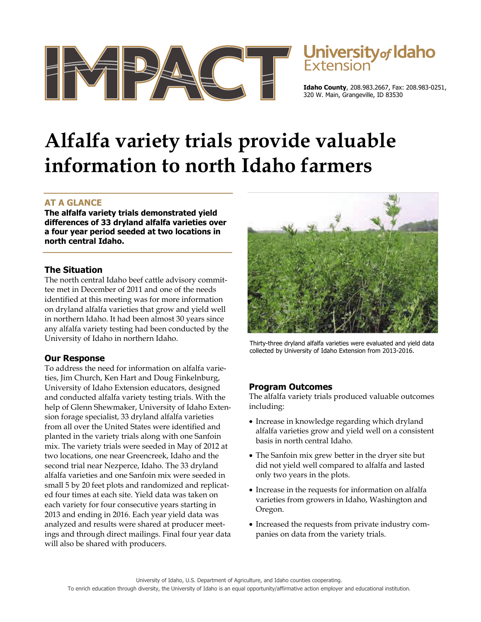



**Idaho County**, 208.983.2667, Fax: 208.983-0251, 320 W. Main, Grangeville, ID 83530

# **Alfalfa variety trials provide valuable information to north Idaho farmers**

# **AT A GLANCE**

**The alfalfa variety trials demonstrated yield differences of 33 dryland alfalfa varieties over a four year period seeded at two locations in north central Idaho.** 

## **The Situation**

The north central Idaho beef cattle advisory committee met in December of 2011 and one of the needs identified at this meeting was for more information on dryland alfalfa varieties that grow and yield well in northern Idaho. It had been almost 30 years since any alfalfa variety testing had been conducted by the University of Idaho in northern Idaho.

## **Our Response**

To address the need for information on alfalfa varieties, Jim Church, Ken Hart and Doug Finkelnburg, University of Idaho Extension educators, designed and conducted alfalfa variety testing trials. With the help of Glenn Shewmaker, University of Idaho Extension forage specialist, 33 dryland alfalfa varieties from all over the United States were identified and planted in the variety trials along with one Sanfoin mix. The variety trials were seeded in May of 2012 at two locations, one near Greencreek, Idaho and the second trial near Nezperce, Idaho. The 33 dryland alfalfa varieties and one Sanfoin mix were seeded in small 5 by 20 feet plots and randomized and replicated four times at each site. Yield data was taken on each variety for four consecutive years starting in 2013 and ending in 2016. Each year yield data was analyzed and results were shared at producer meetings and through direct mailings. Final four year data will also be shared with producers.



Thirty-three dryland alfalfa varieties were evaluated and yield data collected by University of Idaho Extension from 2013-2016.

## **Program Outcomes**

The alfalfa variety trials produced valuable outcomes including:

- Increase in knowledge regarding which dryland alfalfa varieties grow and yield well on a consistent basis in north central Idaho.
- The Sanfoin mix grew better in the dryer site but did not yield well compared to alfalfa and lasted only two years in the plots.
- Increase in the requests for information on alfalfa varieties from growers in Idaho, Washington and Oregon.
- Increased the requests from private industry companies on data from the variety trials.